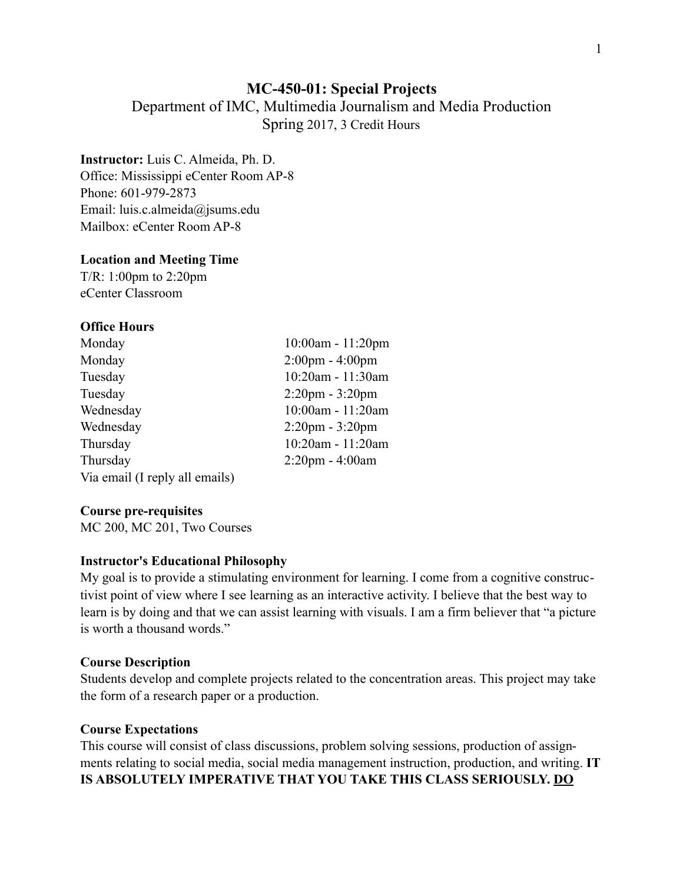## **MC-450-01: Special Projects**

Department of IMC, Multimedia Journalism and Media Production Spring 2017, 3 Credit Hours

## **Instructor:** Luis C. Almeida, Ph. D.

Office: Mississippi eCenter Room AP-8 Phone: 601-979-2873 Email: luis.c.almeida@jsums.edu Mailbox: eCenter Room AP-8

### **Location and Meeting Time**

T/R: 1:00pm to 2:20pm eCenter Classroom

## **Office Hours**

| Monday                         | 10:00am - 11:20pm                 |
|--------------------------------|-----------------------------------|
| Monday                         | $2:00 \text{pm} - 4:00 \text{pm}$ |
| Tuesday                        | 10:20am - 11:30am                 |
| Tuesday                        | $2:20 \text{pm} - 3:20 \text{pm}$ |
| Wednesday                      | 10:00am - 11:20am                 |
| Wednesday                      | $2:20 \text{pm} - 3:20 \text{pm}$ |
| Thursday                       | 10:20am - 11:20am                 |
| Thursday                       | $2:20$ pm - $4:00$ am             |
| Via email (I reply all emails) |                                   |

### **Course pre-requisites**

MC 200, MC 201, Two Courses

### **Instructor's Educational Philosophy**

My goal is to provide a stimulating environment for learning. I come from a cognitive constructivist point of view where I see learning as an interactive activity. I believe that the best way to learn is by doing and that we can assist learning with visuals. I am a firm believer that "a picture is worth a thousand words."

### **Course Description**

Students develop and complete projects related to the concentration areas. This project may take the form of a research paper or a production.

### **Course Expectations**

This course will consist of class discussions, problem solving sessions, production of assignments relating to social media, social media management instruction, production, and writing. **IT IS ABSOLUTELY IMPERATIVE THAT YOU TAKE THIS CLASS SERIOUSLY. DO**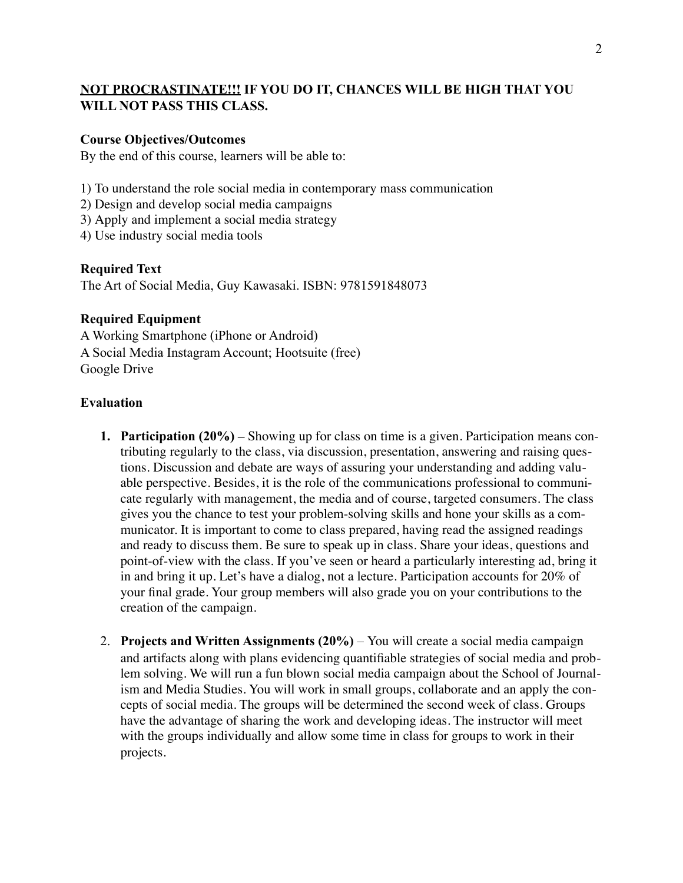## **NOT PROCRASTINATE!!! IF YOU DO IT, CHANCES WILL BE HIGH THAT YOU WILL NOT PASS THIS CLASS.**

## **Course Objectives/Outcomes**

By the end of this course, learners will be able to:

1) To understand the role social media in contemporary mass communication

- 2) Design and develop social media campaigns
- 3) Apply and implement a social media strategy

4) Use industry social media tools

## **Required Text**

The Art of Social Media, Guy Kawasaki. ISBN: 9781591848073

## **Required Equipment**

A Working Smartphone (iPhone or Android) A Social Media Instagram Account; Hootsuite (free) Google Drive

### **Evaluation**

- **1. Participation (20%) –** Showing up for class on time is a given. Participation means contributing regularly to the class, via discussion, presentation, answering and raising questions. Discussion and debate are ways of assuring your understanding and adding valuable perspective. Besides, it is the role of the communications professional to communicate regularly with management, the media and of course, targeted consumers. The class gives you the chance to test your problem-solving skills and hone your skills as a communicator. It is important to come to class prepared, having read the assigned readings and ready to discuss them. Be sure to speak up in class. Share your ideas, questions and point-of-view with the class. If you've seen or heard a particularly interesting ad, bring it in and bring it up. Let's have a dialog, not a lecture. Participation accounts for 20% of your final grade. Your group members will also grade you on your contributions to the creation of the campaign.
- 2. **Projects and Written Assignments (20%)**  You will create a social media campaign and artifacts along with plans evidencing quantifiable strategies of social media and problem solving. We will run a fun blown social media campaign about the School of Journalism and Media Studies. You will work in small groups, collaborate and an apply the concepts of social media. The groups will be determined the second week of class. Groups have the advantage of sharing the work and developing ideas. The instructor will meet with the groups individually and allow some time in class for groups to work in their projects.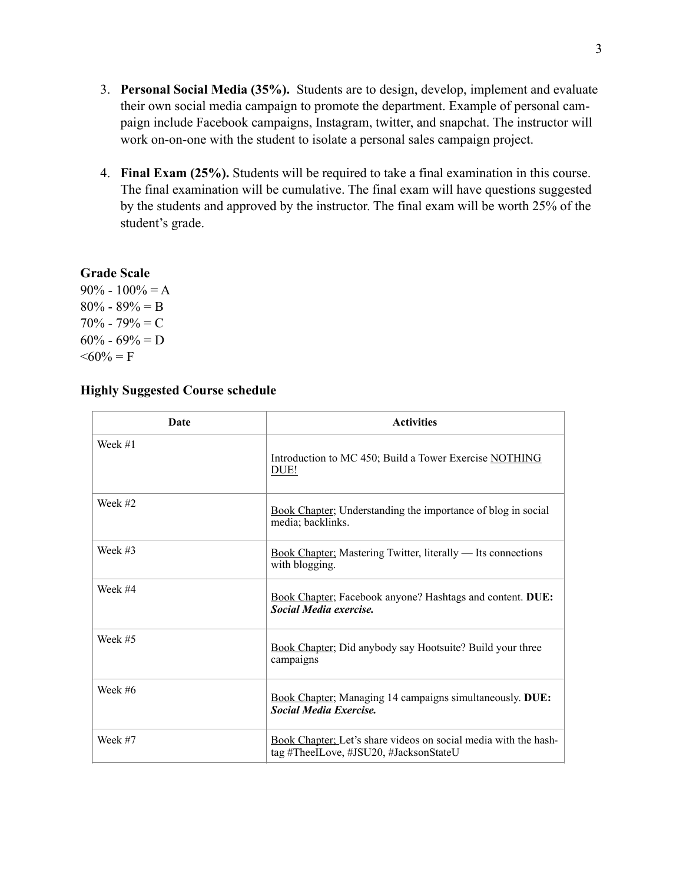- 3. **Personal Social Media (35%).** Students are to design, develop, implement and evaluate their own social media campaign to promote the department. Example of personal campaign include Facebook campaigns, Instagram, twitter, and snapchat. The instructor will work on-on-one with the student to isolate a personal sales campaign project.
- 4. **Final Exam (25%).** Students will be required to take a final examination in this course. The final examination will be cumulative. The final exam will have questions suggested by the students and approved by the instructor. The final exam will be worth 25% of the student's grade.

## **Grade Scale**

 $90\% - 100\% = A$  $80\% - 89\% = B$  $70\% - 79\% = C$  $60\% - 69\% = D$  $\leq 60\% = F$ 

# **Highly Suggested Course schedule**

| <b>Date</b> | <b>Activities</b>                                                                                         |
|-------------|-----------------------------------------------------------------------------------------------------------|
| Week $#1$   | Introduction to MC 450; Build a Tower Exercise NOTHING<br>DUE!                                            |
| Week #2     | Book Chapter; Understanding the importance of blog in social<br>media; backlinks.                         |
| Week $#3$   | <b>Book Chapter:</b> Mastering Twitter, literally — Its connections<br>with blogging.                     |
| Week #4     | Book Chapter; Facebook anyone? Hashtags and content. DUE:<br><b>Social Media exercise.</b>                |
| Week $#5$   | Book Chapter; Did anybody say Hootsuite? Build your three<br>campaigns                                    |
| Week #6     | Book Chapter; Managing 14 campaigns simultaneously. DUE:<br><b>Social Media Exercise.</b>                 |
| Week #7     | Book Chapter; Let's share videos on social media with the hash-<br>tag #TheeILove, #JSU20, #JacksonStateU |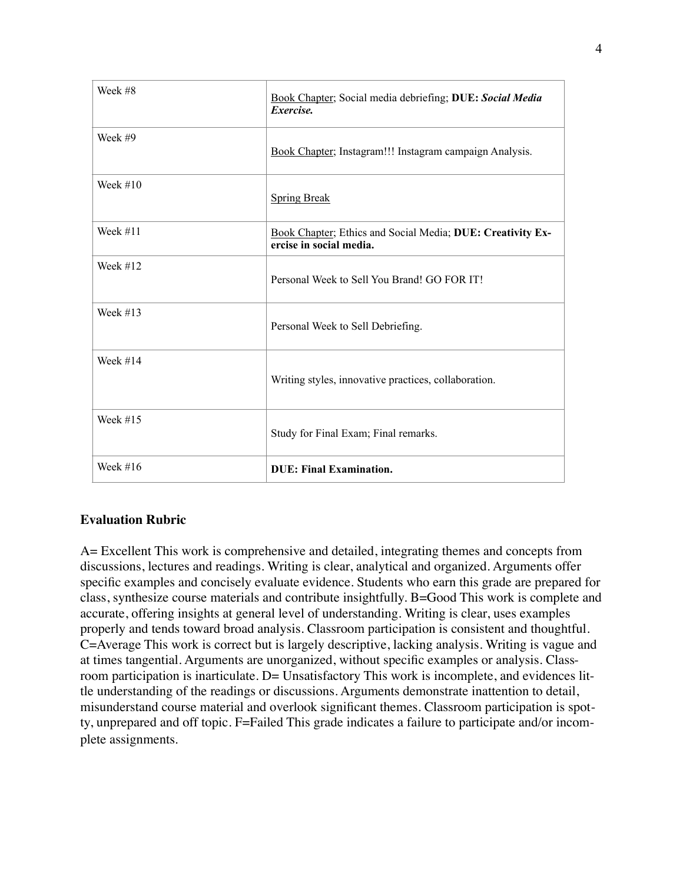| Week #8    | Book Chapter; Social media debriefing; DUE: Social Media<br>Exercise.                 |
|------------|---------------------------------------------------------------------------------------|
| Week #9    | Book Chapter; Instagram!!! Instagram campaign Analysis.                               |
| Week $#10$ | <b>Spring Break</b>                                                                   |
| Week $#11$ | Book Chapter; Ethics and Social Media; DUE: Creativity Ex-<br>ercise in social media. |
| Week $#12$ | Personal Week to Sell You Brand! GO FOR IT!                                           |
| Week $#13$ | Personal Week to Sell Debriefing.                                                     |
| Week $#14$ | Writing styles, innovative practices, collaboration.                                  |
| Week $#15$ | Study for Final Exam; Final remarks.                                                  |
| Week $#16$ | <b>DUE: Final Examination.</b>                                                        |

## **Evaluation Rubric**

A= Excellent This work is comprehensive and detailed, integrating themes and concepts from discussions, lectures and readings. Writing is clear, analytical and organized. Arguments offer specific examples and concisely evaluate evidence. Students who earn this grade are prepared for class, synthesize course materials and contribute insightfully. B=Good This work is complete and accurate, offering insights at general level of understanding. Writing is clear, uses examples properly and tends toward broad analysis. Classroom participation is consistent and thoughtful. C=Average This work is correct but is largely descriptive, lacking analysis. Writing is vague and at times tangential. Arguments are unorganized, without specific examples or analysis. Classroom participation is inarticulate. D= Unsatisfactory This work is incomplete, and evidences little understanding of the readings or discussions. Arguments demonstrate inattention to detail, misunderstand course material and overlook significant themes. Classroom participation is spotty, unprepared and off topic. F=Failed This grade indicates a failure to participate and/or incomplete assignments.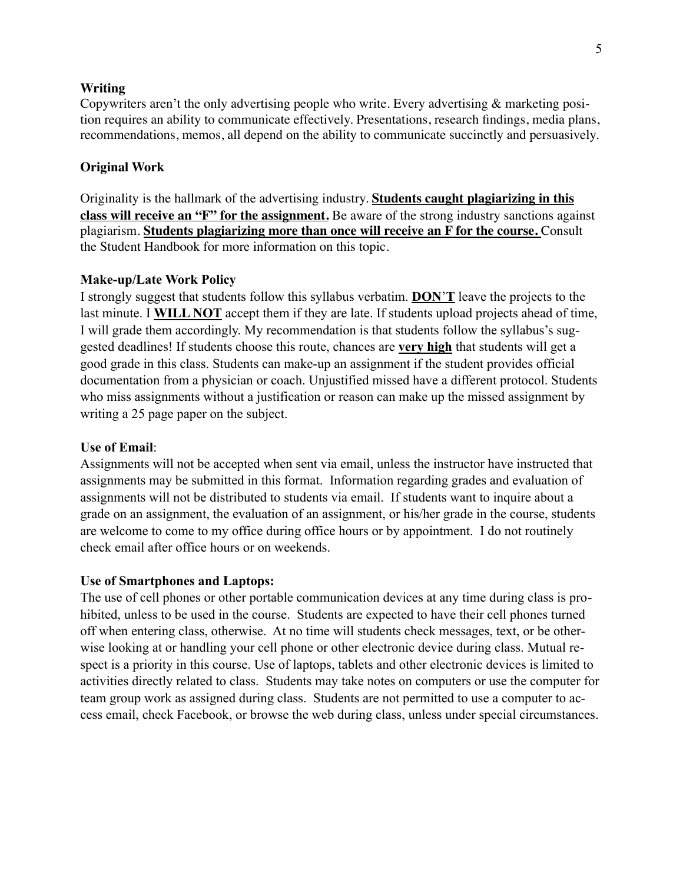#### **Writing**

Copywriters aren't the only advertising people who write. Every advertising & marketing position requires an ability to communicate effectively. Presentations, research findings, media plans, recommendations, memos, all depend on the ability to communicate succinctly and persuasively.

### **Original Work**

Originality is the hallmark of the advertising industry. **Students caught plagiarizing in this class will receive an "F" for the assignment.** Be aware of the strong industry sanctions against plagiarism. **Students plagiarizing more than once will receive an F for the course.** Consult the Student Handbook for more information on this topic.

#### **Make-up/Late Work Policy**

I strongly suggest that students follow this syllabus verbatim. **DON**'**T** leave the projects to the last minute. I **WILL NOT** accept them if they are late. If students upload projects ahead of time, I will grade them accordingly. My recommendation is that students follow the syllabus's suggested deadlines! If students choose this route, chances are **very high** that students will get a good grade in this class. Students can make-up an assignment if the student provides official documentation from a physician or coach. Unjustified missed have a different protocol. Students who miss assignments without a justification or reason can make up the missed assignment by writing a 25 page paper on the subject.

#### **Use of Email**:

Assignments will not be accepted when sent via email, unless the instructor have instructed that assignments may be submitted in this format. Information regarding grades and evaluation of assignments will not be distributed to students via email. If students want to inquire about a grade on an assignment, the evaluation of an assignment, or his/her grade in the course, students are welcome to come to my office during office hours or by appointment. I do not routinely check email after office hours or on weekends.

#### **Use of Smartphones and Laptops:**

The use of cell phones or other portable communication devices at any time during class is prohibited, unless to be used in the course. Students are expected to have their cell phones turned off when entering class, otherwise. At no time will students check messages, text, or be otherwise looking at or handling your cell phone or other electronic device during class. Mutual respect is a priority in this course. Use of laptops, tablets and other electronic devices is limited to activities directly related to class. Students may take notes on computers or use the computer for team group work as assigned during class. Students are not permitted to use a computer to access email, check Facebook, or browse the web during class, unless under special circumstances.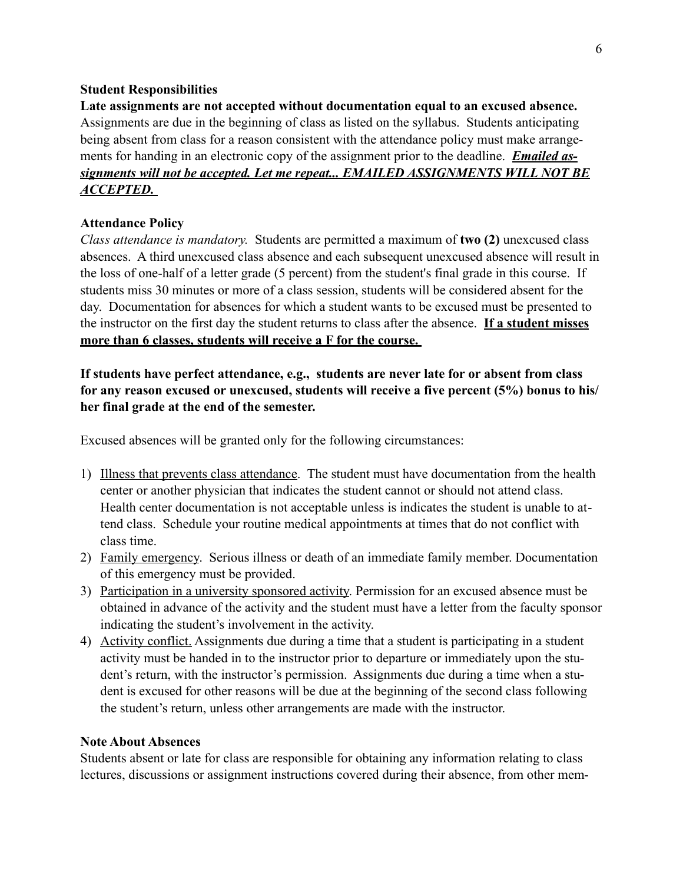### **Student Responsibilities**

**Late assignments are not accepted without documentation equal to an excused absence.**  Assignments are due in the beginning of class as listed on the syllabus. Students anticipating being absent from class for a reason consistent with the attendance policy must make arrangements for handing in an electronic copy of the assignment prior to the deadline. *Emailed assignments will not be accepted. Let me repeat... EMAILED ASSIGNMENTS WILL NOT BE ACCEPTED.* 

## **Attendance Policy**

*Class attendance is mandatory.* Students are permitted a maximum of **two (2)** unexcused class absences. A third unexcused class absence and each subsequent unexcused absence will result in the loss of one-half of a letter grade (5 percent) from the student's final grade in this course. If students miss 30 minutes or more of a class session, students will be considered absent for the day. Documentation for absences for which a student wants to be excused must be presented to the instructor on the first day the student returns to class after the absence. **If a student misses more than 6 classes, students will receive a F for the course.** 

**If students have perfect attendance, e.g., students are never late for or absent from class for any reason excused or unexcused, students will receive a five percent (5%) bonus to his/ her final grade at the end of the semester.** 

Excused absences will be granted only for the following circumstances:

- 1) Illness that prevents class attendance. The student must have documentation from the health center or another physician that indicates the student cannot or should not attend class. Health center documentation is not acceptable unless is indicates the student is unable to attend class. Schedule your routine medical appointments at times that do not conflict with class time.
- 2) Family emergency. Serious illness or death of an immediate family member. Documentation of this emergency must be provided.
- 3) Participation in a university sponsored activity. Permission for an excused absence must be obtained in advance of the activity and the student must have a letter from the faculty sponsor indicating the student's involvement in the activity.
- 4) Activity conflict. Assignments due during a time that a student is participating in a student activity must be handed in to the instructor prior to departure or immediately upon the student's return, with the instructor's permission. Assignments due during a time when a student is excused for other reasons will be due at the beginning of the second class following the student's return, unless other arrangements are made with the instructor.

### **Note About Absences**

Students absent or late for class are responsible for obtaining any information relating to class lectures, discussions or assignment instructions covered during their absence, from other mem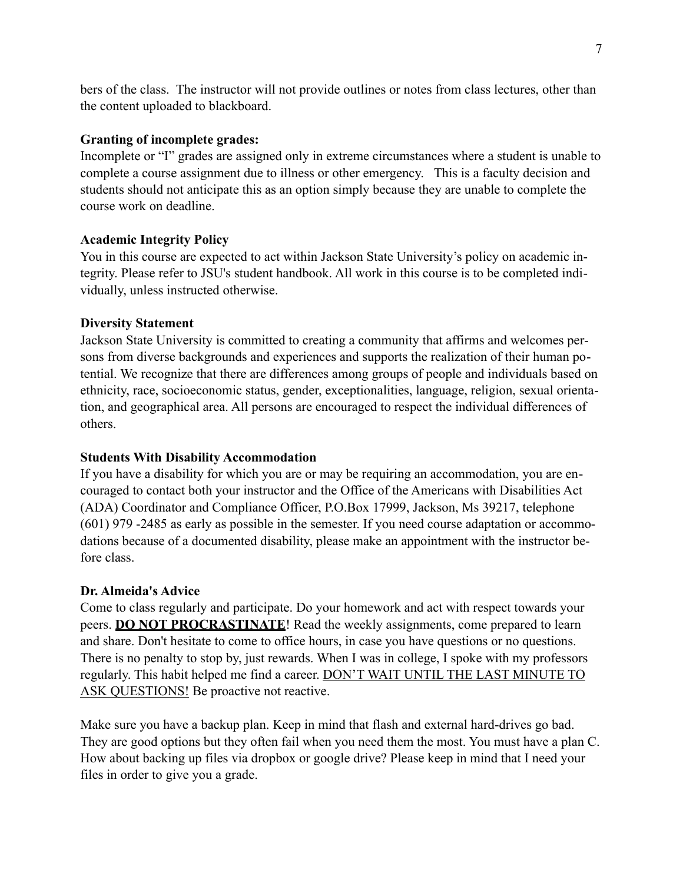bers of the class. The instructor will not provide outlines or notes from class lectures, other than the content uploaded to blackboard.

## **Granting of incomplete grades:**

Incomplete or "I" grades are assigned only in extreme circumstances where a student is unable to complete a course assignment due to illness or other emergency. This is a faculty decision and students should not anticipate this as an option simply because they are unable to complete the course work on deadline.

## **Academic Integrity Policy**

You in this course are expected to act within Jackson State University's policy on academic integrity. Please refer to JSU's student handbook. All work in this course is to be completed individually, unless instructed otherwise.

## **Diversity Statement**

Jackson State University is committed to creating a community that affirms and welcomes persons from diverse backgrounds and experiences and supports the realization of their human potential. We recognize that there are differences among groups of people and individuals based on ethnicity, race, socioeconomic status, gender, exceptionalities, language, religion, sexual orientation, and geographical area. All persons are encouraged to respect the individual differences of others.

## **Students With Disability Accommodation**

If you have a disability for which you are or may be requiring an accommodation, you are encouraged to contact both your instructor and the Office of the Americans with Disabilities Act (ADA) Coordinator and Compliance Officer, P.O.Box 17999, Jackson, Ms 39217, telephone (601) 979 -2485 as early as possible in the semester. If you need course adaptation or accommodations because of a documented disability, please make an appointment with the instructor before class.

## **Dr. Almeida's Advice**

Come to class regularly and participate. Do your homework and act with respect towards your peers. **DO NOT PROCRASTINATE**! Read the weekly assignments, come prepared to learn and share. Don't hesitate to come to office hours, in case you have questions or no questions. There is no penalty to stop by, just rewards. When I was in college, I spoke with my professors regularly. This habit helped me find a career. DON'T WAIT UNTIL THE LAST MINUTE TO ASK QUESTIONS! Be proactive not reactive.

Make sure you have a backup plan. Keep in mind that flash and external hard-drives go bad. They are good options but they often fail when you need them the most. You must have a plan C. How about backing up files via dropbox or google drive? Please keep in mind that I need your files in order to give you a grade.